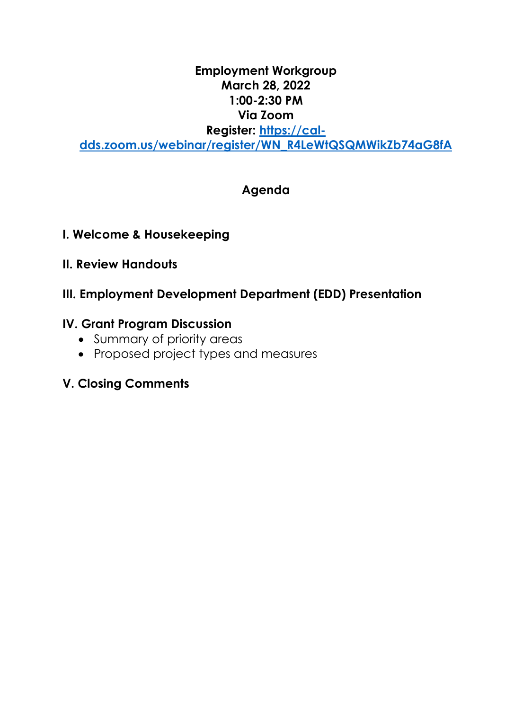## **Employment Workgroup March 28, 2022 1:00-2:30 PM Via Zoom Register: [https://cal](https://gcc02.safelinks.protection.outlook.com/?url=https%3A%2F%2Fcal-dds.zoom.us%2Fwebinar%2Fregister%2FWN_R4LeWtQSQMWikZb74aG8fA&data=04%7C01%7CCharlotte.Kelly%40dds.ca.gov%7C6036bc3c06fe4fa5523f08d9f0164c68%7C7cfc5487eae84559b408d4e67432d3d2%7C0%7C0%7C637804800843104939%7CUnknown%7CTWFpbGZsb3d8eyJWIjoiMC4wLjAwMDAiLCJQIjoiV2luMzIiLCJBTiI6Ik1haWwiLCJXVCI6Mn0%3D%7C3000&sdata=AZ%2Be4A6tVsJZCWecc2dKSREwce37ACt2cQfs1xZQDcw%3D&reserved=0)[dds.zoom.us/webinar/register/WN\\_R4LeWtQSQMWikZb74aG8fA](https://gcc02.safelinks.protection.outlook.com/?url=https%3A%2F%2Fcal-dds.zoom.us%2Fwebinar%2Fregister%2FWN_R4LeWtQSQMWikZb74aG8fA&data=04%7C01%7CCharlotte.Kelly%40dds.ca.gov%7C6036bc3c06fe4fa5523f08d9f0164c68%7C7cfc5487eae84559b408d4e67432d3d2%7C0%7C0%7C637804800843104939%7CUnknown%7CTWFpbGZsb3d8eyJWIjoiMC4wLjAwMDAiLCJQIjoiV2luMzIiLCJBTiI6Ik1haWwiLCJXVCI6Mn0%3D%7C3000&sdata=AZ%2Be4A6tVsJZCWecc2dKSREwce37ACt2cQfs1xZQDcw%3D&reserved=0)**

# **Agenda**

- **I. Welcome & Housekeeping**
- **II. Review Handouts**

## **III. Employment Development Department (EDD) Presentation**

## **IV. Grant Program Discussion**

- Summary of priority areas
- Proposed project types and measures

# **V. Closing Comments**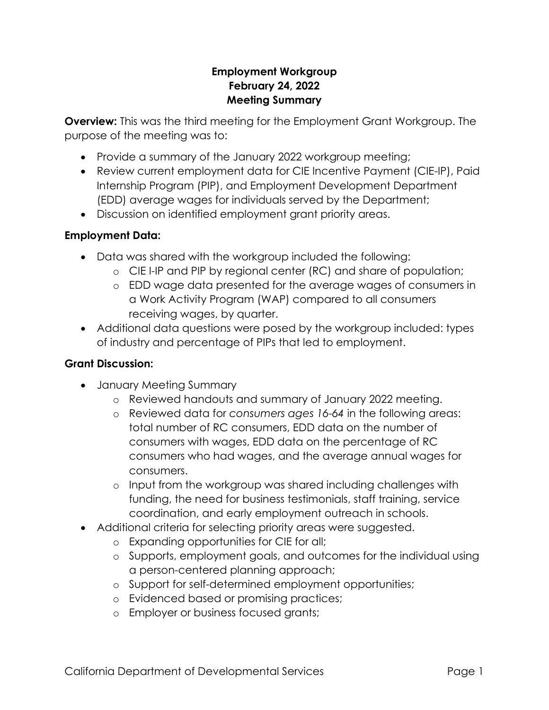### **Employment Workgroup February 24, 2022 Meeting Summary**

**Overview:** This was the third meeting for the Employment Grant Workgroup. The purpose of the meeting was to:

- Provide a summary of the January 2022 workgroup meeting;
- Review current employment data for CIE Incentive Payment (CIE-IP), Paid Internship Program (PIP), and Employment Development Department (EDD) average wages for individuals served by the Department;
- Discussion on identified employment grant priority areas.

### **Employment Data:**

- Data was shared with the workgroup included the following:
	- o CIE I-IP and PIP by regional center (RC) and share of population;
	- o EDD wage data presented for the average wages of consumers in a Work Activity Program (WAP) compared to all consumers receiving wages, by quarter.
- Additional data questions were posed by the workgroup included: types of industry and percentage of PIPs that led to employment.

#### **Grant Discussion:**

- January Meeting Summary
	- o Reviewed handouts and summary of January 2022 meeting.
	- o Reviewed data for *consumers ages 16-64* in the following areas: total number of RC consumers, EDD data on the number of consumers with wages, EDD data on the percentage of RC consumers who had wages, and the average annual wages for consumers.
	- o Input from the workgroup was shared including challenges with funding, the need for business testimonials, staff training, service coordination, and early employment outreach in schools.
- Additional criteria for selecting priority areas were suggested.
	- o Expanding opportunities for CIE for all;
	- o Supports, employment goals, and outcomes for the individual using a person-centered planning approach;
	- o Support for self-determined employment opportunities;
	- o Evidenced based or promising practices;
	- o Employer or business focused grants;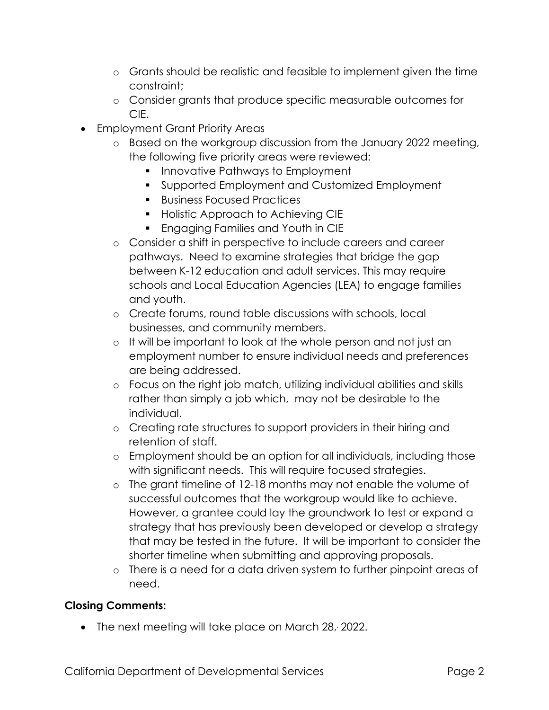- o Grants should be realistic and feasible to implement given the time constraint;
- o Consider grants that produce specific measurable outcomes for CIE.
- Employment Grant Priority Areas
	- o Based on the workgroup discussion from the January 2022 meeting, the following five priority areas were reviewed:
		- **Innovative Pathways to Employment**
		- Supported Employment and Customized Employment
		- **Business Focused Practices**
		- **Holistic Approach to Achieving CIE**
		- **Engaging Families and Youth in CIE**
	- o Consider a shift in perspective to include careers and career pathways. Need to examine strategies that bridge the gap between K-12 education and adult services. This may require schools and Local Education Agencies (LEA) to engage families and youth.
	- o Create forums, round table discussions with schools, local businesses, and community members.
	- o It will be important to look at the whole person and not just an employment number to ensure individual needs and preferences are being addressed.
	- o Focus on the right job match, utilizing individual abilities and skills rather than simply a job which, may not be desirable to the individual.
	- o Creating rate structures to support providers in their hiring and retention of staff.
	- o Employment should be an option for all individuals, including those with significant needs. This will require focused strategies.
	- o The grant timeline of 12-18 months may not enable the volume of successful outcomes that the workgroup would like to achieve. However, a grantee could lay the groundwork to test or expand a strategy that has previously been developed or develop a strategy that may be tested in the future. It will be important to consider the shorter timeline when submitting and approving proposals.
	- o There is a need for a data driven system to further pinpoint areas of need.

## **Closing Comments:**

• The next meeting will take place on March 28, 2022.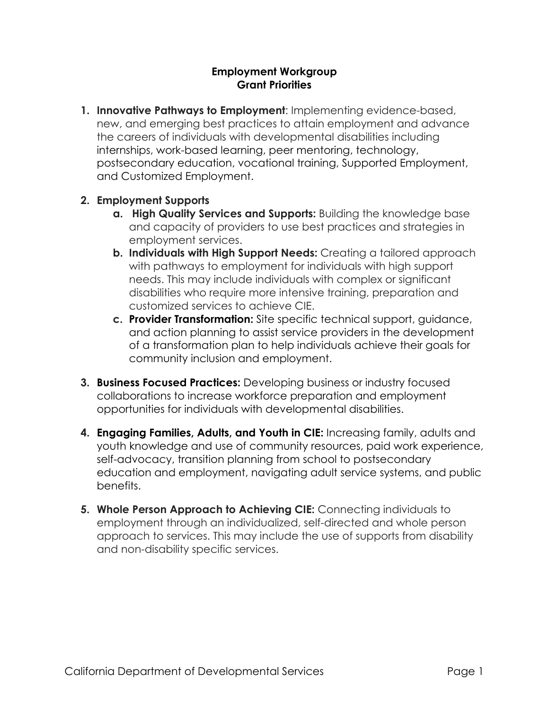#### **Employment Workgroup Grant Priorities**

**1. Innovative Pathways to Employment**: Implementing evidence-based, new, and emerging best practices to attain employment and advance the careers of individuals with developmental disabilities including internships, work-based learning, peer mentoring, technology, postsecondary education, vocational training, Supported Employment, and Customized Employment.

#### **2. Employment Supports**

- **a. High Quality Services and Supports:** Building the knowledge base and capacity of providers to use best practices and strategies in employment services.
- **b. Individuals with High Support Needs:** Creating a tailored approach with pathways to employment for individuals with high support needs. This may include individuals with complex or significant disabilities who require more intensive training, preparation and customized services to achieve CIE.
- **c. Provider Transformation:** Site specific technical support, guidance, and action planning to assist service providers in the development of a transformation plan to help individuals achieve their goals for community inclusion and employment.
- **3. Business Focused Practices:** Developing business or industry focused collaborations to increase workforce preparation and employment opportunities for individuals with developmental disabilities.
- **4. Engaging Families, Adults, and Youth in CIE:** Increasing family, adults and youth knowledge and use of community resources, paid work experience, self-advocacy, transition planning from school to postsecondary education and employment, navigating adult service systems, and public benefits.
- **5. Whole Person Approach to Achieving CIE:** Connecting individuals to employment through an individualized, self-directed and whole person approach to services. This may include the use of supports from disability and non-disability specific services.